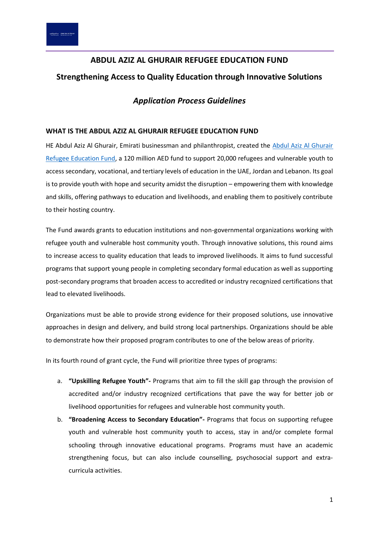# **ABDUL AZIZ AL GHURAIR REFUGEE EDUCATION FUND Strengthening Access to Quality Education through Innovative Solutions**

# *Application Process Guidelines*

# **WHAT IS THE ABDUL AZIZ AL GHURAIR REFUGEE EDUCATION FUND**

HE Abdul Aziz Al Ghurair, Emirati businessman and philanthropist, created the Abdul Aziz Al Ghurair [Refugee Education Fund,](http://www.refugee-educationfund.org/) a 120 million AED fund to support 20,000 refugees and vulnerable youth to access secondary, vocational, and tertiary levels of education in the UAE, Jordan and Lebanon. Its goal is to provide youth with hope and security amidst the disruption – empowering them with knowledge and skills, offering pathways to education and livelihoods, and enabling them to positively contribute to their hosting country.

The Fund awards grants to education institutions and non-governmental organizations working with refugee youth and vulnerable host community youth. Through innovative solutions, this round aims to increase access to quality education that leads to improved livelihoods. It aims to fund successful programs that support young people in completing secondary formal education as well as supporting post-secondary programs that broaden access to accredited or industry recognized certifications that lead to elevated livelihoods.

Organizations must be able to provide strong evidence for their proposed solutions, use innovative approaches in design and delivery, and build strong local partnerships. Organizations should be able to demonstrate how their proposed program contributes to one of the below areas of priority.

In its fourth round of grant cycle, the Fund will prioritize three types of programs:

- a. **"Upskilling Refugee Youth"-** Programs that aim to fill the skill gap through the provision of accredited and/or industry recognized certifications that pave the way for better job or livelihood opportunities for refugees and vulnerable host community youth.
- b. **"Broadening Access to Secondary Education"-** Programs that focus on supporting refugee youth and vulnerable host community youth to access, stay in and/or complete formal schooling through innovative educational programs. Programs must have an academic strengthening focus, but can also include counselling, psychosocial support and extracurricula activities.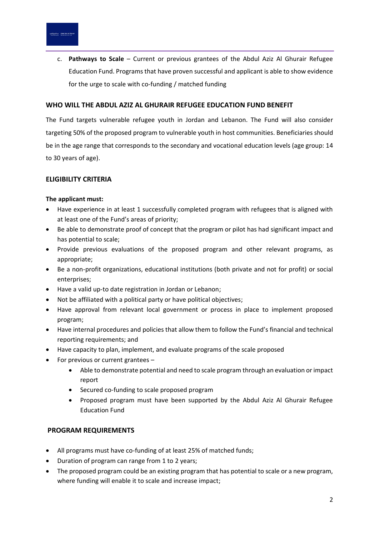c. **Pathways to Scale** – Current or previous grantees of the Abdul Aziz Al Ghurair Refugee Education Fund. Programs that have proven successful and applicant is able to show evidence for the urge to scale with co-funding / matched funding

#### **WHO WILL THE ABDUL AZIZ AL GHURAIR REFUGEE EDUCATION FUND BENEFIT**

The Fund targets vulnerable refugee youth in Jordan and Lebanon. The Fund will also consider targeting 50% of the proposed program to vulnerable youth in host communities. Beneficiaries should be in the age range that corresponds to the secondary and vocational education levels (age group: 14 to 30 years of age).

#### **ELIGIBILITY CRITERIA**

#### **The applicant must:**

- Have experience in at least 1 successfully completed program with refugees that is aligned with at least one of the Fund's areas of priority;
- Be able to demonstrate proof of concept that the program or pilot has had significant impact and has potential to scale;
- Provide previous evaluations of the proposed program and other relevant programs, as appropriate;
- Be a non-profit organizations, educational institutions (both private and not for profit) or social enterprises;
- Have a valid up-to date registration in Jordan or Lebanon;
- Not be affiliated with a political party or have political objectives;
- Have approval from relevant local government or process in place to implement proposed program;
- Have internal procedures and policies that allow them to follow the Fund's financial and technical reporting requirements; and
- Have capacity to plan, implement, and evaluate programs of the scale proposed
- For previous or current grantees
	- Able to demonstrate potential and need to scale program through an evaluation or impact report
	- Secured co-funding to scale proposed program
	- Proposed program must have been supported by the Abdul Aziz Al Ghurair Refugee Education Fund

#### **PROGRAM REQUIREMENTS**

- All programs must have co-funding of at least 25% of matched funds;
- Duration of program can range from 1 to 2 years;
- The proposed program could be an existing program that has potential to scale or a new program, where funding will enable it to scale and increase impact;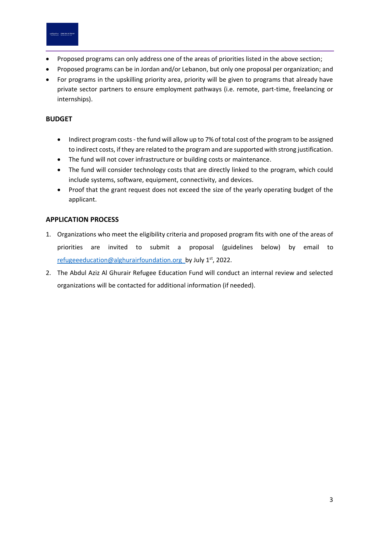

- Proposed programs can only address one of the areas of priorities listed in the above section;
- Proposed programs can be in Jordan and/or Lebanon, but only one proposal per organization; and
- For programs in the upskilling priority area, priority will be given to programs that already have private sector partners to ensure employment pathways (i.e. remote, part-time, freelancing or internships).

# **BUDGET**

- Indirect program costs the fund will allow up to 7% of total cost of the program to be assigned to indirect costs, if they are related to the program and are supported with strong justification.
- The fund will not cover infrastructure or building costs or maintenance.
- The fund will consider technology costs that are directly linked to the program, which could include systems, software, equipment, connectivity, and devices.
- Proof that the grant request does not exceed the size of the yearly operating budget of the applicant.

# **APPLICATION PROCESS**

- 1. Organizations who meet the eligibility criteria and proposed program fits with one of the areas of priorities are invited to submit a proposal (guidelines below) by email to [refugeeeducation@alghurairfoundation.org](mailto:refugeeeducation@alghurairfoundation.org) by July 1<sup>st</sup>, 2022.
- 2. The Abdul Aziz Al Ghurair Refugee Education Fund will conduct an internal review and selected organizations will be contacted for additional information (if needed).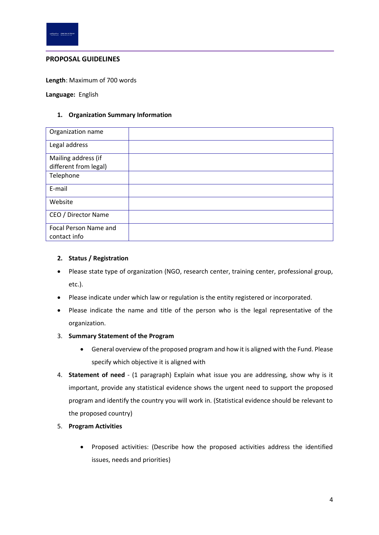

#### **PROPOSAL GUIDELINES**

**Length**: Maximum of 700 words

**Language:** English

#### **1. Organization Summary Information**

| Organization name                            |  |
|----------------------------------------------|--|
| Legal address                                |  |
| Mailing address (if<br>different from legal) |  |
| Telephone                                    |  |
| E-mail                                       |  |
| Website                                      |  |
| CEO / Director Name                          |  |
| Focal Person Name and<br>contact info        |  |

#### **2. Status / Registration**

- Please state type of organization (NGO, research center, training center, professional group, etc.).
- Please indicate under which law or regulation is the entity registered or incorporated.
- Please indicate the name and title of the person who is the legal representative of the organization.
- 3. **Summary Statement of the Program**
	- General overview of the proposed program and how it is aligned with the Fund. Please specify which objective it is aligned with
- 4. **Statement of need** (1 paragraph) Explain what issue you are addressing, show why is it important, provide any statistical evidence shows the urgent need to support the proposed program and identify the country you will work in. (Statistical evidence should be relevant to the proposed country)
- 5. **Program Activities**
	- Proposed activities: (Describe how the proposed activities address the identified issues, needs and priorities)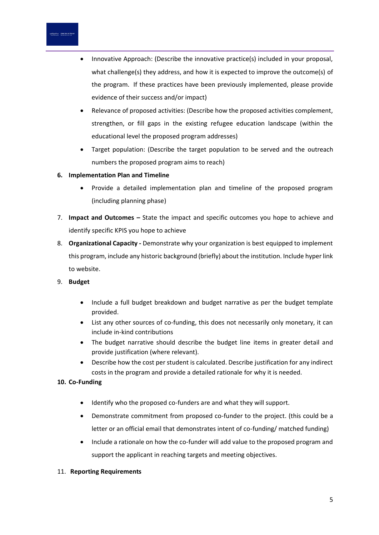

- Innovative Approach: (Describe the innovative practice(s) included in your proposal, what challenge(s) they address, and how it is expected to improve the outcome(s) of the program. If these practices have been previously implemented, please provide evidence of their success and/or impact)
- Relevance of proposed activities: (Describe how the proposed activities complement, strengthen, or fill gaps in the existing refugee education landscape (within the educational level the proposed program addresses)
- Target population: (Describe the target population to be served and the outreach numbers the proposed program aims to reach)

# **6. Implementation Plan and Timeline**

- Provide a detailed implementation plan and timeline of the proposed program (including planning phase)
- 7. **Impact and Outcomes –** State the impact and specific outcomes you hope to achieve and identify specific KPIS you hope to achieve
- 8. **Organizational Capacity -** Demonstrate why your organization is best equipped to implement this program, include any historic background (briefly) about the institution. Include hyper link to website.

# 9. **Budget**

- Include a full budget breakdown and budget narrative as per the budget template provided.
- List any other sources of co-funding, this does not necessarily only monetary, it can include in-kind contributions
- The budget narrative should describe the budget line items in greater detail and provide justification (where relevant).
- Describe how the cost per student is calculated. Describe justification for any indirect costs in the program and provide a detailed rationale for why it is needed.

#### **10. Co-Funding**

- Identify who the proposed co-funders are and what they will support.
- Demonstrate commitment from proposed co-funder to the project. (this could be a letter or an official email that demonstrates intent of co-funding/ matched funding)
- Include a rationale on how the co-funder will add value to the proposed program and support the applicant in reaching targets and meeting objectives.

#### 11. **Reporting Requirements**